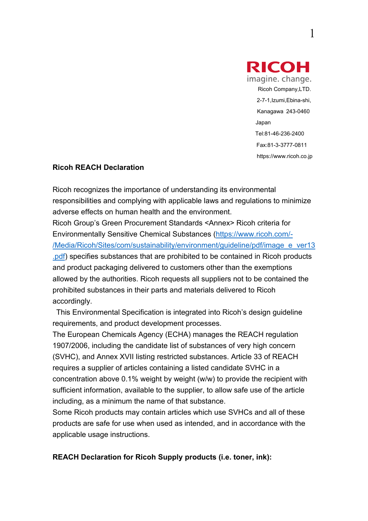

## **Ricoh REACH Declaration**

Ricoh recognizes the importance of understanding its environmental responsibilities and complying with applicable laws and regulations to minimize adverse effects on human health and the environment. Ricoh Group's Green Procurement Standards <Annex> Ricoh criteria for Environmentally Sensitive Chemical Substances (https://www.ricoh.com/- /Media/Ricoh/Sites/com/sustainability/environment/guideline/pdf/image\_e\_ver13 .pdf) specifies substances that are prohibited to be contained in Ricoh products and product packaging delivered to customers other than the exemptions allowed by the authorities. Ricoh requests all suppliers not to be contained the prohibited substances in their parts and materials delivered to Ricoh accordingly.

 This Environmental Specification is integrated into Ricoh's design guideline requirements, and product development processes.

The European Chemicals Agency (ECHA) manages the REACH regulation 1907/2006, including the candidate list of substances of very high concern (SVHC), and Annex XVII listing restricted substances. Article 33 of REACH requires a supplier of articles containing a listed candidate SVHC in a concentration above 0.1% weight by weight (w/w) to provide the recipient with sufficient information, available to the supplier, to allow safe use of the article including, as a minimum the name of that substance.

Some Ricoh products may contain articles which use SVHCs and all of these products are safe for use when used as intended, and in accordance with the applicable usage instructions.

**REACH Declaration for Ricoh Supply products (i.e. toner, ink):**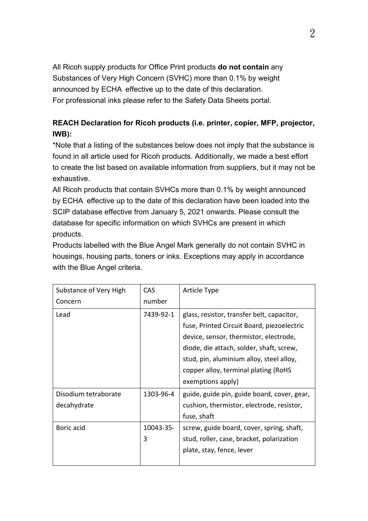All Ricoh supply products for Office Print products **do not contain** any Substances of Very High Concern (SVHC) more than 0.1% by weight announced by ECHA effective up to the date of this declaration. For professional inks please refer to the Safety Data Sheets portal.

## **REACH Declaration for Ricoh products (i.e. printer, copier, MFP, projector, IWB):**

\*Note that a listing of the substances below does not imply that the substance is found in all article used for Ricoh products. Additionally, we made a best effort to create the list based on available information from suppliers, but it may not be exhaustive.

All Ricoh products that contain SVHCs more than 0.1% by weight announced by ECHA effective up to the date of this declaration have been loaded into the SCIP database effective from January 5, 2021 onwards. Please consult the database for specific information on which SVHCs are present in which products.

Products labelled with the Blue Angel Mark generally do not contain SVHC in housings, housing parts, toners or inks. Exceptions may apply in accordance with the Blue Angel criteria.

| Substance of Very High              | CAS            | Article Type                                                                                                                                       |
|-------------------------------------|----------------|----------------------------------------------------------------------------------------------------------------------------------------------------|
| Concern                             | number         |                                                                                                                                                    |
| Lead                                | 7439-92-1      | glass, resistor, transfer belt, capacitor,<br>fuse, Printed Circuit Board, piezoelectric<br>device, sensor, thermistor, electrode,                 |
|                                     |                | diode, die attach, solder, shaft, screw,<br>stud, pin, aluminium alloy, steel alloy,<br>copper alloy, terminal plating (RoHS)<br>exemptions apply) |
| Disodium tetraborate<br>decahydrate | 1303-96-4      | guide, guide pin, guide board, cover, gear,<br>cushion, thermistor, electrode, resistor,<br>fuse, shaft                                            |
| Boric acid                          | 10043-35-<br>3 | screw, guide board, cover, spring, shaft,<br>stud, roller, case, bracket, polarization<br>plate, stay, fence, lever                                |